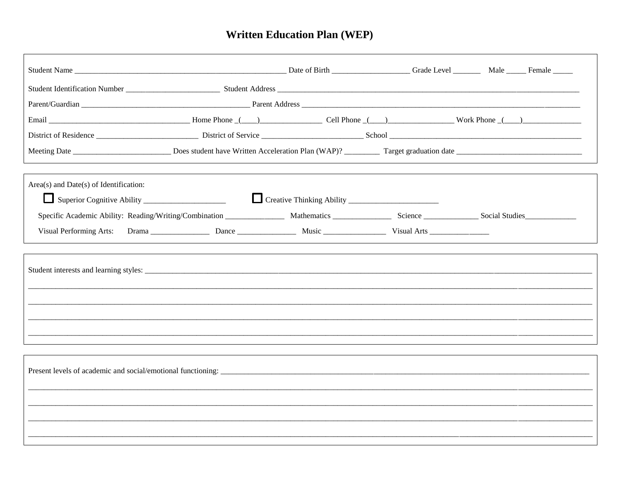## **Written Education Plan (WEP)**

| Email $\frac{1}{\sqrt{1-\frac{1}{2}}}\frac{1}{\sqrt{1-\frac{1}{2}}}\frac{1}{\sqrt{1-\frac{1}{2}}}\frac{1}{\sqrt{1-\frac{1}{2}}}\frac{1}{\sqrt{1-\frac{1}{2}}}\frac{1}{\sqrt{1-\frac{1}{2}}}\frac{1}{\sqrt{1-\frac{1}{2}}}\frac{1}{\sqrt{1-\frac{1}{2}}}\frac{1}{\sqrt{1-\frac{1}{2}}}\frac{1}{\sqrt{1-\frac{1}{2}}}\frac{1}{\sqrt{1-\frac{1}{2}}}\frac{1}{\sqrt{1-\frac{1}{2}}}\frac{1}{\sqrt{1-\frac{1}{2}}}\frac{1}{\$ |  |  |  |  |  |  |  |  |  |
|--------------------------------------------------------------------------------------------------------------------------------------------------------------------------------------------------------------------------------------------------------------------------------------------------------------------------------------------------------------------------------------------------------------------------|--|--|--|--|--|--|--|--|--|
|                                                                                                                                                                                                                                                                                                                                                                                                                          |  |  |  |  |  |  |  |  |  |
|                                                                                                                                                                                                                                                                                                                                                                                                                          |  |  |  |  |  |  |  |  |  |
| Area(s) and Date(s) of Identification:                                                                                                                                                                                                                                                                                                                                                                                   |  |  |  |  |  |  |  |  |  |
| Superior Cognitive Ability                                                                                                                                                                                                                                                                                                                                                                                               |  |  |  |  |  |  |  |  |  |
|                                                                                                                                                                                                                                                                                                                                                                                                                          |  |  |  |  |  |  |  |  |  |
|                                                                                                                                                                                                                                                                                                                                                                                                                          |  |  |  |  |  |  |  |  |  |
|                                                                                                                                                                                                                                                                                                                                                                                                                          |  |  |  |  |  |  |  |  |  |
|                                                                                                                                                                                                                                                                                                                                                                                                                          |  |  |  |  |  |  |  |  |  |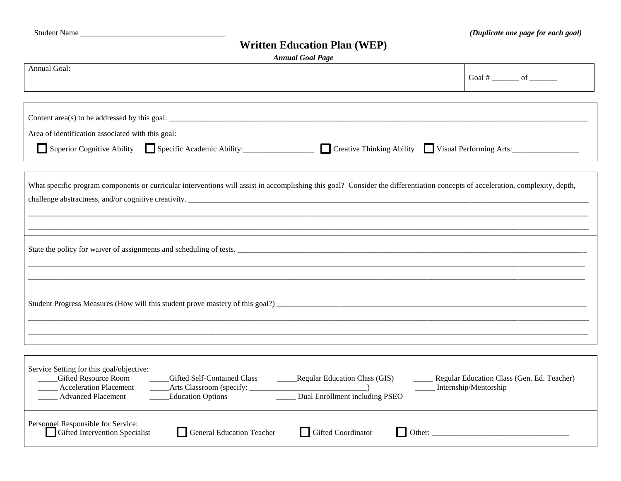## **Written Education Plan (WEP)**

|  | <b>Annual Goal Page</b> |  |
|--|-------------------------|--|
|--|-------------------------|--|

| <b>Annual Goal Page</b>                                                                                                                                                                                                                                                                                 |                                            |  |  |  |  |  |
|---------------------------------------------------------------------------------------------------------------------------------------------------------------------------------------------------------------------------------------------------------------------------------------------------------|--------------------------------------------|--|--|--|--|--|
| Annual Goal:                                                                                                                                                                                                                                                                                            | Goal # _________ of ________               |  |  |  |  |  |
| Content area(s) to be addressed by this goal: $\frac{1}{\sqrt{1-\frac{1}{n}}}\sqrt{1-\frac{1}{n}}$                                                                                                                                                                                                      |                                            |  |  |  |  |  |
| Area of identification associated with this goal:                                                                                                                                                                                                                                                       |                                            |  |  |  |  |  |
| Superior Cognitive Ability Specific Academic Ability: Creative Thinking Ability Visual Performing Arts:                                                                                                                                                                                                 |                                            |  |  |  |  |  |
| What specific program components or curricular interventions will assist in accomplishing this goal? Consider the differentiation concepts of acceleration, complexity, depth,<br>challenge abstractness, and/or cognitive creativity.                                                                  |                                            |  |  |  |  |  |
|                                                                                                                                                                                                                                                                                                         |                                            |  |  |  |  |  |
|                                                                                                                                                                                                                                                                                                         |                                            |  |  |  |  |  |
|                                                                                                                                                                                                                                                                                                         |                                            |  |  |  |  |  |
|                                                                                                                                                                                                                                                                                                         |                                            |  |  |  |  |  |
| Service Setting for this goal/objective:<br><b>Gifted Resource Room</b><br>Gifted Self-Contained Class<br>_____Regular Education Class (GIS)<br><b>Acceleration Placement</b><br>_____ Internship/Mentorship<br>Dual Enrollment including PSEO<br><b>Advanced Placement</b><br><b>Education Options</b> | Regular Education Class (Gen. Ed. Teacher) |  |  |  |  |  |
| Personnel Responsible for Service:<br>General Education Teacher<br>Gifted Coordinator<br>Gifted Intervention Specialist                                                                                                                                                                                 |                                            |  |  |  |  |  |